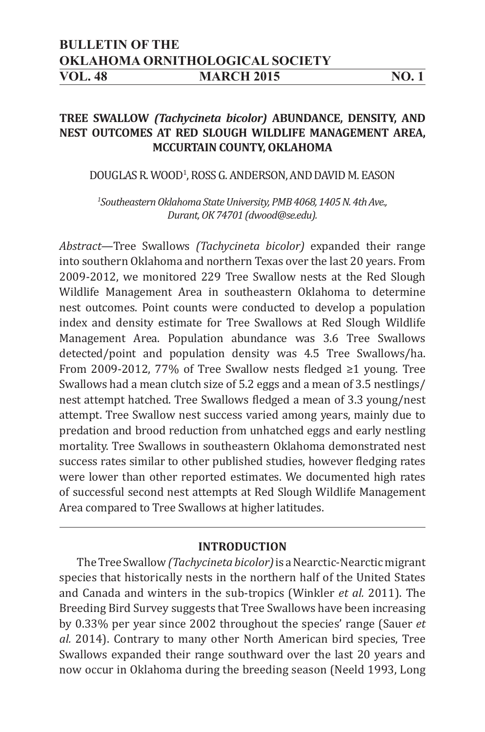## **BULLETIN OF THE OKLAHOMA ORNITHOLOGICAL SOCIETY VOL. 48 MARCH 2015 NO. 1**

# **TREE SWALLOW** *(Tachycineta bicolor)* **ABUNDANCE, DENSITY, AND NEST OUTCOMES AT RED SLOUGH WILDLIFE MANAGEMENT AREA, MCCURTAIN COUNTY, OKLAHOMA**

## DOUGLAS R. WOOD<sup>1</sup>, ROSS G. ANDERSON, AND DAVID M. EASON

*1 Southeastern Oklahoma State University, PMB 4068, 1405 N. 4th Ave., Durant, OK 74701 (dwood@se.edu).*

*Abstract—*Tree Swallows *(Tachycineta bicolor)* expanded their range into southern Oklahoma and northern Texas over the last 20 years. From 2009-2012, we monitored 229 Tree Swallow nests at the Red Slough Wildlife Management Area in southeastern Oklahoma to determine nest outcomes. Point counts were conducted to develop a population index and density estimate for Tree Swallows at Red Slough Wildlife Management Area. Population abundance was 3.6 Tree Swallows detected/point and population density was 4.5 Tree Swallows/ha. From 2009-2012, 77% of Tree Swallow nests fledged ≥1 young. Tree Swallows had a mean clutch size of 5.2 eggs and a mean of 3.5 nestlings/ nest attempt hatched. Tree Swallows fledged a mean of 3.3 young/nest attempt. Tree Swallow nest success varied among years, mainly due to predation and brood reduction from unhatched eggs and early nestling mortality. Tree Swallows in southeastern Oklahoma demonstrated nest success rates similar to other published studies, however fledging rates were lower than other reported estimates. We documented high rates of successful second nest attempts at Red Slough Wildlife Management Area compared to Tree Swallows at higher latitudes.

## **INTRODUCTION**

The Tree Swallow *(Tachycineta bicolor)* is a Nearctic-Nearctic migrant species that historically nests in the northern half of the United States and Canada and winters in the sub-tropics (Winkler *et al.* 2011). The Breeding Bird Survey suggests that Tree Swallows have been increasing by 0.33% per year since 2002 throughout the species' range (Sauer *et al.* 2014). Contrary to many other North American bird species, Tree Swallows expanded their range southward over the last 20 years and now occur in Oklahoma during the breeding season (Neeld 1993, Long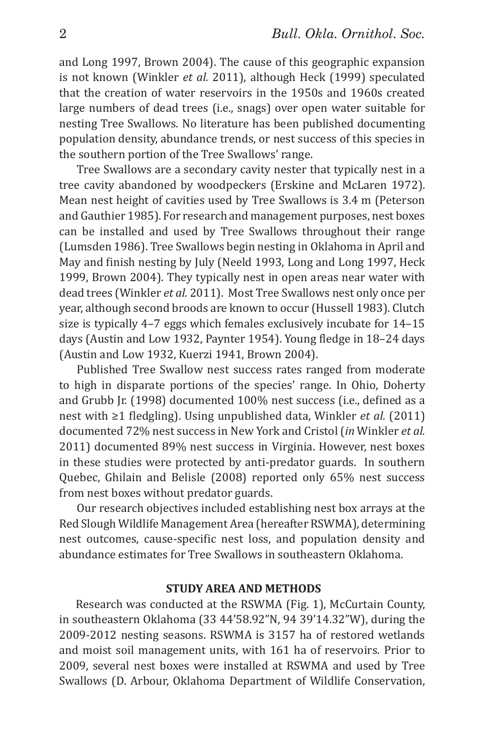and Long 1997, Brown 2004). The cause of this geographic expansion is not known (Winkler *et al.* 2011), although Heck (1999) speculated that the creation of water reservoirs in the 1950s and 1960s created large numbers of dead trees (i.e., snags) over open water suitable for nesting Tree Swallows. No literature has been published documenting population density, abundance trends, or nest success of this species in the southern portion of the Tree Swallows' range.

Tree Swallows are a secondary cavity nester that typically nest in a tree cavity abandoned by woodpeckers (Erskine and McLaren 1972). Mean nest height of cavities used by Tree Swallows is 3.4 m (Peterson and Gauthier 1985). For research and management purposes, nest boxes can be installed and used by Tree Swallows throughout their range (Lumsden 1986). Tree Swallows begin nesting in Oklahoma in April and May and finish nesting by July (Neeld 1993, Long and Long 1997, Heck 1999, Brown 2004). They typically nest in open areas near water with dead trees (Winkler *et al.* 2011). Most Tree Swallows nest only once per year, although second broods are known to occur (Hussell 1983). Clutch size is typically 4–7 eggs which females exclusively incubate for 14–15 days (Austin and Low 1932, Paynter 1954). Young fledge in 18-24 days (Austin and Low 1932, Kuerzi 1941, Brown 2004).

Published Tree Swallow nest success rates ranged from moderate to high in disparate portions of the species' range. In Ohio, Doherty and Grubb Jr. (1998) documented 100% nest success (i.e., defined as a nest with ≥1 fledgling). Using unpublished data, Winkler *et al.* (2011) documented 72% nest success in New York and Cristol (*in* Winkler *et al.*  2011) documented 89% nest success in Virginia. However, nest boxes in these studies were protected by anti-predator guards. In southern Quebec, Ghilain and Belisle (2008) reported only 65% nest success from nest boxes without predator guards.

Our research objectives included establishing nest box arrays at the Red Slough Wildlife Management Area (hereafter RSWMA), determining nest outcomes, cause-specific nest loss, and population density and abundance estimates for Tree Swallows in southeastern Oklahoma.

### **STUDY AREA AND METHODS**

Research was conducted at the RSWMA (Fig. 1), McCurtain County, in southeastern Oklahoma (33 44'58.92"N, 94 39'14.32"W), during the 2009-2012 nesting seasons. RSWMA is 3157 ha of restored wetlands and moist soil management units, with 161 ha of reservoirs. Prior to 2009, several nest boxes were installed at RSWMA and used by Tree Swallows (D. Arbour, Oklahoma Department of Wildlife Conservation,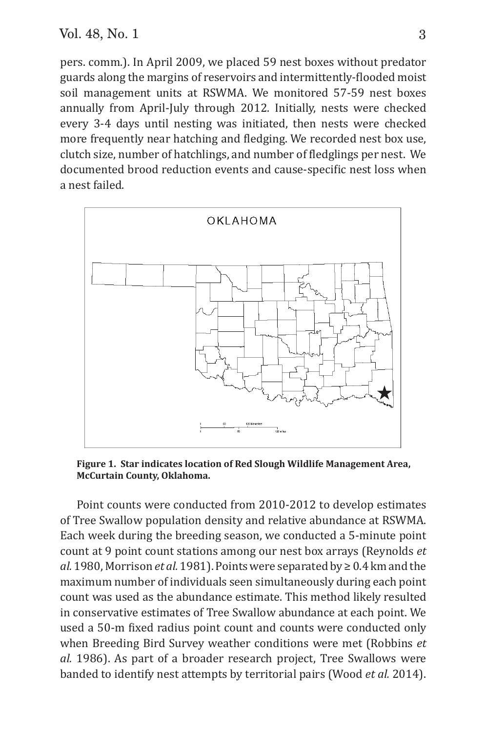pers. comm.). In April 2009, we placed 59 nest boxes without predator guards along the margins of reservoirs and intermittently-flooded moist soil management units at RSWMA. We monitored 57-59 nest boxes annually from April-July through 2012. Initially, nests were checked every 3-4 days until nesting was initiated, then nests were checked more frequently near hatching and fledging. We recorded nest box use, clutch size, number of hatchlings, and number of fledglings per nest. We documented brood reduction events and cause-specific nest loss when a nest failed.



**Figure 1. Star indicates location of Red Slough Wildlife Management Area, McCurtain County, Oklahoma.**

Point counts were conducted from 2010-2012 to develop estimates of Tree Swallow population density and relative abundance at RSWMA. Each week during the breeding season, we conducted a 5-minute point count at 9 point count stations among our nest box arrays (Reynolds *et al.* 1980, Morrison *et al.* 1981). Points were separated by ≥ 0.4 km and the maximum number of individuals seen simultaneously during each point count was used as the abundance estimate. This method likely resulted in conservative estimates of Tree Swallow abundance at each point. We used a 50-m fixed radius point count and counts were conducted only when Breeding Bird Survey weather conditions were met (Robbins *et al.* 1986). As part of a broader research project, Tree Swallows were banded to identify nest attempts by territorial pairs (Wood *et al.* 2014).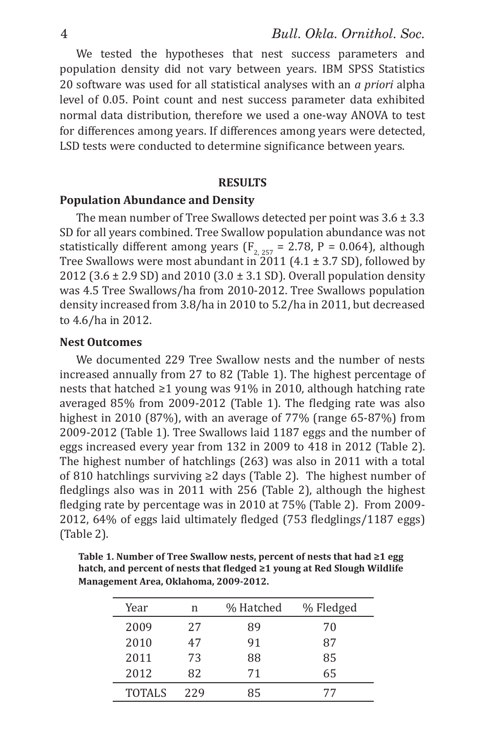We tested the hypotheses that nest success parameters and population density did not vary between years. IBM SPSS Statistics 20 software was used for all statistical analyses with an *a priori* alpha level of 0.05. Point count and nest success parameter data exhibited normal data distribution, therefore we used a one-way ANOVA to test for differences among years. If differences among years were detected, LSD tests were conducted to determine significance between years.

#### **RESULTS**

#### **Population Abundance and Density**

The mean number of Tree Swallows detected per point was  $3.6 \pm 3.3$ SD for all years combined. Tree Swallow population abundance was not statistically different among years ( $F_{2, 257}$  = 2.78, P = 0.064), although Tree Swallows were most abundant in  $2011$  (4.1  $\pm$  3.7 SD), followed by 2012 (3.6  $\pm$  2.9 SD) and 2010 (3.0  $\pm$  3.1 SD). Overall population density was 4.5 Tree Swallows/ha from 2010-2012. Tree Swallows population density increased from 3.8/ha in 2010 to 5.2/ha in 2011, but decreased to 4.6/ha in 2012.

### **Nest Outcomes**

We documented 229 Tree Swallow nests and the number of nests increased annually from 27 to 82 (Table 1). The highest percentage of nests that hatched ≥1 young was 91% in 2010, although hatching rate averaged 85% from 2009-2012 (Table 1). The fledging rate was also highest in 2010 (87%), with an average of 77% (range 65-87%) from 2009-2012 (Table 1). Tree Swallows laid 1187 eggs and the number of eggs increased every year from 132 in 2009 to 418 in 2012 (Table 2). The highest number of hatchlings (263) was also in 2011 with a total of 810 hatchlings surviving ≥2 days (Table 2). The highest number of fledglings also was in 2011 with 256 (Table 2), although the highest fledging rate by percentage was in 2010 at 75% (Table 2). From 2009-2012, 64% of eggs laid ultimately fledged (753 fledglings/1187 eggs) (Table 2).

| Table 1. Number of Tree Swallow nests, percent of nests that had ≥1 egg  |
|--------------------------------------------------------------------------|
| hatch, and percent of nests that fledged ≥1 young at Red Slough Wildlife |
| Management Area. Oklahoma. 2009-2012.                                    |

| Year          | n   | % Hatched | % Fledged |
|---------------|-----|-----------|-----------|
| 2009          | 27  | 89        | 70        |
| 2010          | 47  | 91        | 87        |
| 2011          | 73  | 88        | 85        |
| 2012          | 82  | 71        | 65        |
| <b>TOTALS</b> | 229 | 85        | 77        |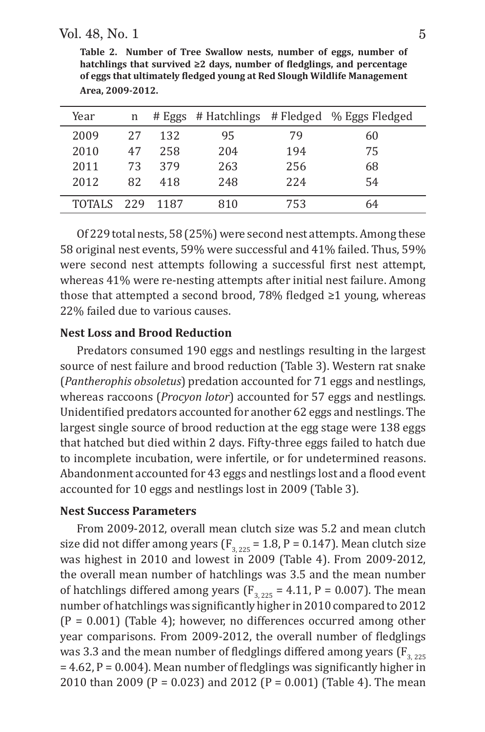Vol. 48, No. 1 5

| Year       | n  |      |     |     | # Eggs # Hatchlings # Fledged % Eggs Fledged |
|------------|----|------|-----|-----|----------------------------------------------|
| 2009       | 27 | 132  | 95  | 79  | 60                                           |
| 2010       | 47 | 258  | 204 | 194 | 75                                           |
| 2011       | 73 | 379  | 263 | 256 | 68                                           |
| 2012       | 82 | 418  | 248 | 224 | 54                                           |
| TOTALS 229 |    | 1187 | 810 | 753 | 64                                           |

**Table 2. Number of Tree Swallow nests, number of eggs, number of hatchlings that survived**  $\geq 2$  **days, number of fledglings, and percentage of eggs that ultimately ϐledged young at Red Slough Wildlife Management Area, 2009-2012.** 

Of 229 total nests, 58 (25%) were second nest attempts. Among these 58 original nest events, 59% were successful and 41% failed. Thus, 59% were second nest attempts following a successful first nest attempt, whereas 41% were re-nesting attempts after initial nest failure. Among those that attempted a second brood, 78% fledged  $\geq 1$  young, whereas 22% failed due to various causes.

## **Nest Loss and Brood Reduction**

Predators consumed 190 eggs and nestlings resulting in the largest source of nest failure and brood reduction (Table 3). Western rat snake (*Pantherophis obsoletus*) predation accounted for 71 eggs and nestlings, whereas raccoons (*Procyon lotor*) accounted for 57 eggs and nestlings. Unidentified predators accounted for another 62 eggs and nestlings. The largest single source of brood reduction at the egg stage were 138 eggs that hatched but died within 2 days. Fifty-three eggs failed to hatch due to incomplete incubation, were infertile, or for undetermined reasons. Abandonment accounted for 43 eggs and nestlings lost and a flood event accounted for 10 eggs and nestlings lost in 2009 (Table 3).

## **Nest Success Parameters**

From 2009-2012, overall mean clutch size was 5.2 and mean clutch size did not differ among years ( $F_{3, 225}$  = 1.8, P = 0.147). Mean clutch size was highest in 2010 and lowest in 2009 (Table 4). From 2009-2012, the overall mean number of hatchlings was 3.5 and the mean number of hatchlings differed among years ( $F_{3, 225}$  = 4.11, P = 0.007). The mean number of hatchlings was significantly higher in 2010 compared to 2012  $(P = 0.001)$  (Table 4); however, no differences occurred among other year comparisons. From 2009-2012, the overall number of fledglings was 3.3 and the mean number of fledglings differed among years ( $F_{3, 225}$ )  $= 4.62$ , P = 0.004). Mean number of fledglings was significantly higher in 2010 than 2009 (P = 0.023) and 2012 (P = 0.001) (Table 4). The mean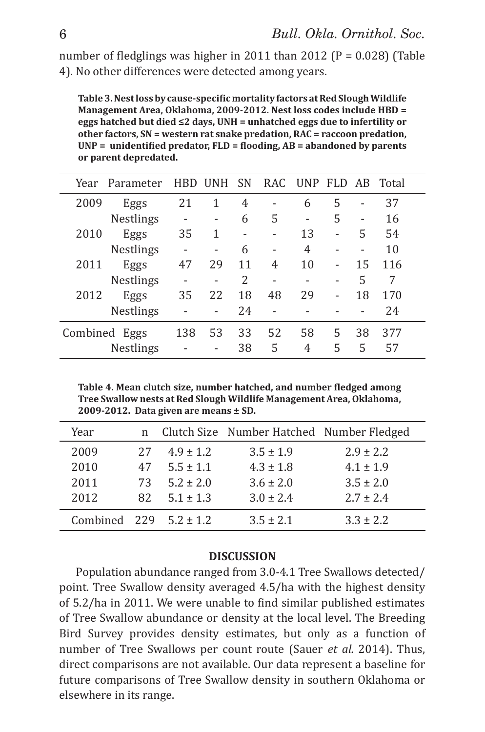number of fledglings was higher in 2011 than 2012 ( $P = 0.028$ ) (Table 4). No other differences were detected among years.

**Table 3. Nest loss by cause-specific mortality factors at Red Slough Wildlife Management Area, Oklahoma, 2009-2012. Nest loss codes include HBD = eggs hatched but died ≤2 days, UNH = unhatched eggs due to infertility or other factors, SN = western rat snake predation, RAC = raccoon predation,**  UNP = unidentified predator, FLD = flooding, AB = abandoned by parents **or parent depredated.** 

| Year     | Parameter        | <b>HBD</b> | <b>UNH</b> | <b>SN</b> |    | RAC UNP | FLD. | AB | Total |
|----------|------------------|------------|------------|-----------|----|---------|------|----|-------|
| 2009     | Eggs             | 21         | 1          | 4         |    | 6       | 5    |    | 37    |
|          | Nestlings        |            |            | 6         | 5  | ۰       | 5    | ۰  | 16    |
| 2010     | Eggs             | 35         | 1          |           |    | 13      | ۰    | 5  | 54    |
|          | <b>Nestlings</b> |            |            | 6         |    | 4       |      |    | 10    |
| 2011     | Eggs             | 47         | 29         | 11        | 4  | 10      | ۰    | 15 | 116   |
|          | Nestlings        |            |            | 2         |    | ۰       | ۰    | 5  | 7     |
| 2012     | Eggs             | 35         | 22         | 18        | 48 | 29      | ۰    | 18 | 170   |
|          | <b>Nestlings</b> |            |            | 24        |    |         |      |    | 24    |
| Combined | Eggs             | 138        | 53         | 33        | 52 | 58      | 5    | 38 | 377   |
|          | Nestlings        |            |            | 38        | 5  | 4       | 5    | 5  | 57    |

**Table 4. Mean clutch size, number hatched, and number fledged among Tree Swallow nests at Red Slough Wildlife Management Area, Oklahoma, 2009-2012. Data given are means ± SD.**

| Year                             |     |               | n Clutch Size Number Hatched Number Fledged |               |
|----------------------------------|-----|---------------|---------------------------------------------|---------------|
| 2009                             | 27  | $4.9 \pm 1.2$ | $3.5 \pm 1.9$                               | $2.9 \pm 2.2$ |
| 2010                             | 47  | $5.5 \pm 1.1$ | $4.3 \pm 1.8$                               | $4.1 \pm 1.9$ |
| 2011                             | 73  | $5.2 \pm 2.0$ | $3.6 \pm 2.0$                               | $3.5 \pm 2.0$ |
| 2012                             | 82. | $5.1 \pm 1.3$ | $3.0 \pm 2.4$                               | $2.7 \pm 2.4$ |
| Combined $229 \quad 5.2 \pm 1.2$ |     |               | $3.5 \pm 2.1$                               | $3.3 \pm 2.2$ |

### **DISCUSSION**

Population abundance ranged from 3.0-4.1 Tree Swallows detected/ point. Tree Swallow density averaged 4.5/ha with the highest density of 5.2/ha in 2011. We were unable to find similar published estimates of Tree Swallow abundance or density at the local level. The Breeding Bird Survey provides density estimates, but only as a function of number of Tree Swallows per count route (Sauer *et al.* 2014). Thus, direct comparisons are not available. Our data represent a baseline for future comparisons of Tree Swallow density in southern Oklahoma or elsewhere in its range.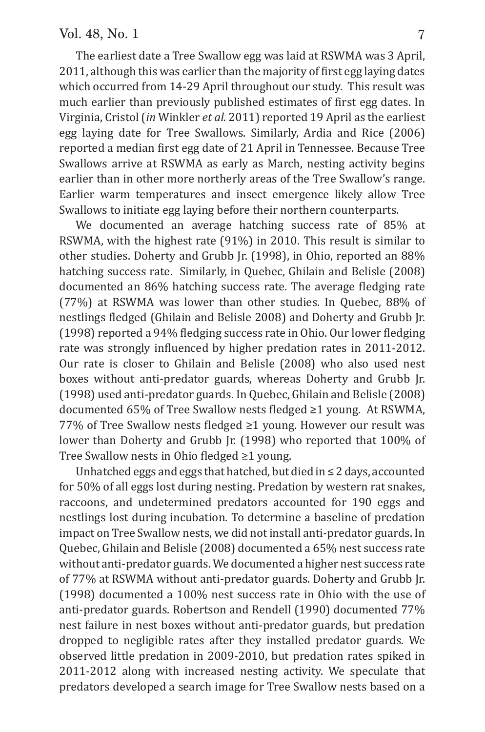## Vol. 48, No. 1 7

The earliest date a Tree Swallow egg was laid at RSWMA was 3 April, 2011, although this was earlier than the majority of first egg laying dates which occurred from 14-29 April throughout our study. This result was much earlier than previously published estimates of first egg dates. In Virginia, Cristol (*in* Winkler *et al.* 2011) reported 19 April as the earliest egg laying date for Tree Swallows. Similarly, Ardia and Rice (2006) reported a median first egg date of 21 April in Tennessee. Because Tree Swallows arrive at RSWMA as early as March, nesting activity begins earlier than in other more northerly areas of the Tree Swallow's range. Earlier warm temperatures and insect emergence likely allow Tree Swallows to initiate egg laying before their northern counterparts.

We documented an average hatching success rate of 85% at RSWMA, with the highest rate (91%) in 2010. This result is similar to other studies. Doherty and Grubb Jr. (1998), in Ohio, reported an 88% hatching success rate. Similarly, in Quebec, Ghilain and Belisle (2008) documented an 86% hatching success rate. The average fledging rate (77%) at RSWMA was lower than other studies. In Quebec, 88% of nestlings fledged (Ghilain and Belisle 2008) and Doherty and Grubb Jr.  $(1998)$  reported a 94% fledging success rate in Ohio. Our lower fledging rate was strongly influenced by higher predation rates in 2011-2012. Our rate is closer to Ghilain and Belisle (2008) who also used nest boxes without anti-predator guards, whereas Doherty and Grubb Jr. (1998) used anti-predator guards. In Quebec, Ghilain and Belisle (2008) documented 65% of Tree Swallow nests fledged ≥1 young. At RSWMA, 77% of Tree Swallow nests fledged ≥1 young. However our result was lower than Doherty and Grubb Ir. (1998) who reported that 100% of Tree Swallow nests in Ohio fledged  $\geq 1$  young.

Unhatched eggs and eggs that hatched, but died in  $\leq 2$  days, accounted for 50% of all eggs lost during nesting. Predation by western rat snakes, raccoons, and undetermined predators accounted for 190 eggs and nestlings lost during incubation. To determine a baseline of predation impact on Tree Swallow nests, we did not install anti-predator guards. In Quebec, Ghilain and Belisle (2008) documented a 65% nest success rate without anti-predator guards. We documented a higher nest success rate of 77% at RSWMA without anti-predator guards. Doherty and Grubb Jr. (1998) documented a 100% nest success rate in Ohio with the use of anti-predator guards. Robertson and Rendell (1990) documented 77% nest failure in nest boxes without anti-predator guards, but predation dropped to negligible rates after they installed predator guards. We observed little predation in 2009-2010, but predation rates spiked in 2011-2012 along with increased nesting activity. We speculate that predators developed a search image for Tree Swallow nests based on a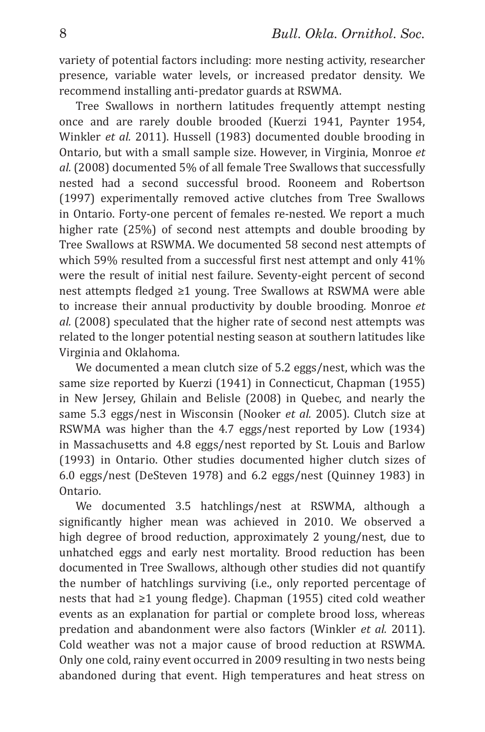variety of potential factors including: more nesting activity, researcher presence, variable water levels, or increased predator density. We recommend installing anti-predator guards at RSWMA.

Tree Swallows in northern latitudes frequently attempt nesting once and are rarely double brooded (Kuerzi 1941, Paynter 1954, Winkler *et al.* 2011). Hussell (1983) documented double brooding in Ontario, but with a small sample size. However, in Virginia, Monroe *et al.* (2008) documented 5% of all female Tree Swallows that successfully nested had a second successful brood. Rooneem and Robertson (1997) experimentally removed active clutches from Tree Swallows in Ontario. Forty-one percent of females re-nested. We report a much higher rate (25%) of second nest attempts and double brooding by Tree Swallows at RSWMA. We documented 58 second nest attempts of which 59% resulted from a successful first nest attempt and only  $41\%$ were the result of initial nest failure. Seventy-eight percent of second nest attempts fledged ≥1 young. Tree Swallows at RSWMA were able to increase their annual productivity by double brooding. Monroe *et al.* (2008) speculated that the higher rate of second nest attempts was related to the longer potential nesting season at southern latitudes like Virginia and Oklahoma.

We documented a mean clutch size of 5.2 eggs/nest, which was the same size reported by Kuerzi (1941) in Connecticut, Chapman (1955) in New Jersey, Ghilain and Belisle (2008) in Quebec, and nearly the same 5.3 eggs/nest in Wisconsin (Nooker *et al.* 2005). Clutch size at RSWMA was higher than the 4.7 eggs/nest reported by Low (1934) in Massachusetts and 4.8 eggs/nest reported by St. Louis and Barlow (1993) in Ontario. Other studies documented higher clutch sizes of 6.0 eggs/nest (DeSteven 1978) and 6.2 eggs/nest (Quinney 1983) in Ontario.

We documented 3.5 hatchlings/nest at RSWMA, although a significantly higher mean was achieved in 2010. We observed a high degree of brood reduction, approximately 2 young/nest, due to unhatched eggs and early nest mortality. Brood reduction has been documented in Tree Swallows, although other studies did not quantify the number of hatchlings surviving (i.e., only reported percentage of nests that had  $\geq 1$  young fledge). Chapman (1955) cited cold weather events as an explanation for partial or complete brood loss, whereas predation and abandonment were also factors (Winkler *et al.* 2011). Cold weather was not a major cause of brood reduction at RSWMA. Only one cold, rainy event occurred in 2009 resulting in two nests being abandoned during that event. High temperatures and heat stress on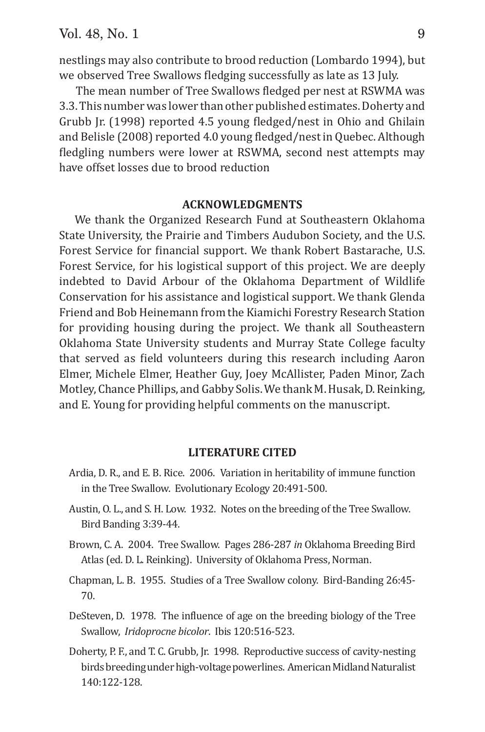nestlings may also contribute to brood reduction (Lombardo 1994), but we observed Tree Swallows fledging successfully as late as 13 July.

The mean number of Tree Swallows fledged per nest at RSWMA was 3.3. This number was lower than other published estimates. Doherty and Grubb Jr. (1998) reported 4.5 young fledged/nest in Ohio and Ghilain and Belisle (2008) reported 4.0 young fledged/nest in Quebec. Although fledgling numbers were lower at RSWMA, second nest attempts may have offset losses due to brood reduction

### **ACKNOWLEDGMENTS**

We thank the Organized Research Fund at Southeastern Oklahoma State University, the Prairie and Timbers Audubon Society, and the U.S. Forest Service for financial support. We thank Robert Bastarache, U.S. Forest Service, for his logistical support of this project. We are deeply indebted to David Arbour of the Oklahoma Department of Wildlife Conservation for his assistance and logistical support. We thank Glenda Friend and Bob Heinemann from the Kiamichi Forestry Research Station for providing housing during the project. We thank all Southeastern Oklahoma State University students and Murray State College faculty that served as field volunteers during this research including Aaron Elmer, Michele Elmer, Heather Guy, Joey McAllister, Paden Minor, Zach Motley, Chance Phillips, and Gabby Solis. We thank M. Husak, D. Reinking, and E. Young for providing helpful comments on the manuscript.

## **LITERATURE CITED**

- Ardia, D. R., and E. B. Rice. 2006. Variation in heritability of immune function in the Tree Swallow. Evolutionary Ecology 20:491-500.
- Austin, O. L., and S. H. Low. 1932. Notes on the breeding of the Tree Swallow. Bird Banding 3:39-44.
- Brown, C. A. 2004. Tree Swallow. Pages 286-287 *in* Oklahoma Breeding Bird Atlas (ed. D. L. Reinking). University of Oklahoma Press, Norman.
- Chapman, L. B. 1955. Studies of a Tree Swallow colony. Bird-Banding 26:45- 70.
- DeSteven, D. 1978. The influence of age on the breeding biology of the Tree Swallow, *Iridoprocne bicolor*. Ibis 120:516-523.
- Doherty, P. F., and T. C. Grubb, Jr. 1998. Reproductive success of cavity-nesting birds breeding under high-voltage powerlines. American Midland Naturalist 140:122-128.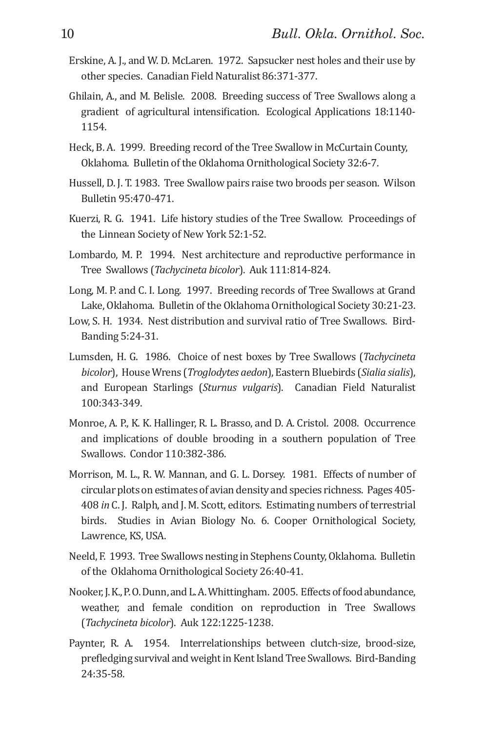- Erskine, A. J., and W. D. McLaren. 1972. Sapsucker nest holes and their use by other species. Canadian Field Naturalist 86:371-377.
- Ghilain, A., and M. Belisle. 2008. Breeding success of Tree Swallows along a gradient of agricultural intensification. Ecological Applications 18:1140-1154.
- Heck, B. A. 1999. Breeding record of the Tree Swallow in McCurtain County, Oklahoma. Bulletin of the Oklahoma Ornithological Society 32:6-7.
- Hussell, D. J. T. 1983. Tree Swallow pairs raise two broods per season. Wilson Bulletin 95:470-471.
- Kuerzi, R. G. 1941. Life history studies of the Tree Swallow. Proceedings of the Linnean Society of New York 52:1-52.
- Lombardo, M. P. 1994. Nest architecture and reproductive performance in Tree Swallows (*Tachycineta bicolor*). Auk 111:814-824.
- Long, M. P. and C. I. Long. 1997. Breeding records of Tree Swallows at Grand Lake, Oklahoma. Bulletin of the Oklahoma Ornithological Society 30:21-23.
- Low, S. H. 1934. Nest distribution and survival ratio of Tree Swallows. Bird- Banding 5:24-31.
- Lumsden, H. G. 1986. Choice of nest boxes by Tree Swallows (*Tachycineta bicolor*), House Wrens (*Troglodytes aedon*), Eastern Bluebirds (*Sialia sialis*), and European Starlings (*Sturnus vulgaris*). Canadian Field Naturalist 100:343-349.
- Monroe, A. P., K. K. Hallinger, R. L. Brasso, and D. A. Cristol. 2008. Occurrence and implications of double brooding in a southern population of Tree Swallows. Condor 110:382-386.
- Morrison, M. L., R. W. Mannan, and G. L. Dorsey. 1981. Effects of number of circular plots on estimates of avian density and species richness. Pages 405- 408 *in* C. J. Ralph, and J. M. Scott, editors. Estimating numbers of terrestrial birds. Studies in Avian Biology No. 6. Cooper Ornithological Society, Lawrence, KS, USA.
- Neeld, F. 1993. Tree Swallows nesting in Stephens County, Oklahoma. Bulletin of the Oklahoma Ornithological Society 26:40-41.
- Nooker, J. K., P. O. Dunn, and L. A. Whittingham. 2005. Effects of food abundance, weather, and female condition on reproduction in Tree Swallows (*Tachycineta bicolor*). Auk 122:1225-1238.
- Paynter, R. A. 1954. Interrelationships between clutch-size, brood-size, prefledging survival and weight in Kent Island Tree Swallows. Bird-Banding 24:35-58.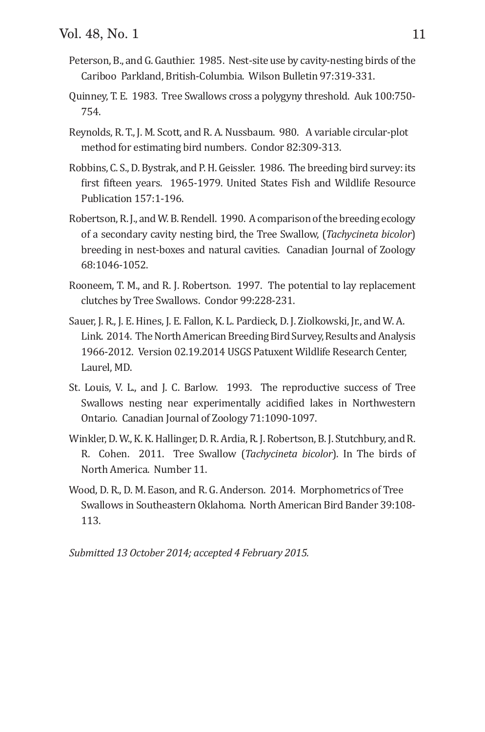- Peterson, B., and G. Gauthier. 1985. Nest-site use by cavity-nesting birds of the Cariboo Parkland, British-Columbia. Wilson Bulletin 97:319-331.
- Quinney, T. E. 1983. Tree Swallows cross a polygyny threshold. Auk 100:750- 754.
- Reynolds, R. T., J. M. Scott, and R. A. Nussbaum. 980. A variable circular-plot method for estimating bird numbers. Condor 82:309-313.
- Robbins, C. S., D. Bystrak, and P. H. Geissler. 1986. The breeding bird survey: its first fifteen years. 1965-1979. United States Fish and Wildlife Resource Publication 157:1-196.
- Robertson, R. J., and W. B. Rendell. 1990. A comparison of the breeding ecology of a secondary cavity nesting bird, the Tree Swallow, (*Tachycineta bicolor*) breeding in nest-boxes and natural cavities. Canadian Journal of Zoology 68:1046-1052.
- Rooneem, T. M., and R. J. Robertson. 1997. The potential to lay replacement clutches by Tree Swallows. Condor 99:228-231.
- Sauer, J. R., J. E. Hines, J. E. Fallon, K. L. Pardieck, D. J. Ziolkowski, Jr., and W. A. Link. 2014. The North American Breeding Bird Survey, Results and Analysis 1966-2012. Version 02.19.2014 USGS Patuxent Wildlife Research Center, Laurel, MD.
- St. Louis, V. L., and J. C. Barlow. 1993. The reproductive success of Tree Swallows nesting near experimentally acidified lakes in Northwestern Ontario. Canadian Journal of Zoology 71:1090-1097.
- Winkler, D. W., K. K. Hallinger, D. R. Ardia, R. J. Robertson, B. J. Stutchbury, and R. R. Cohen. 2011. Tree Swallow (*Tachycineta bicolor*). In The birds of North America. Number 11.
- Wood, D. R., D. M. Eason, and R. G. Anderson. 2014. Morphometrics of Tree Swallows in Southeastern Oklahoma. North American Bird Bander 39:108- 113.

*Submitted 13 October 2014; accepted 4 February 2015.*